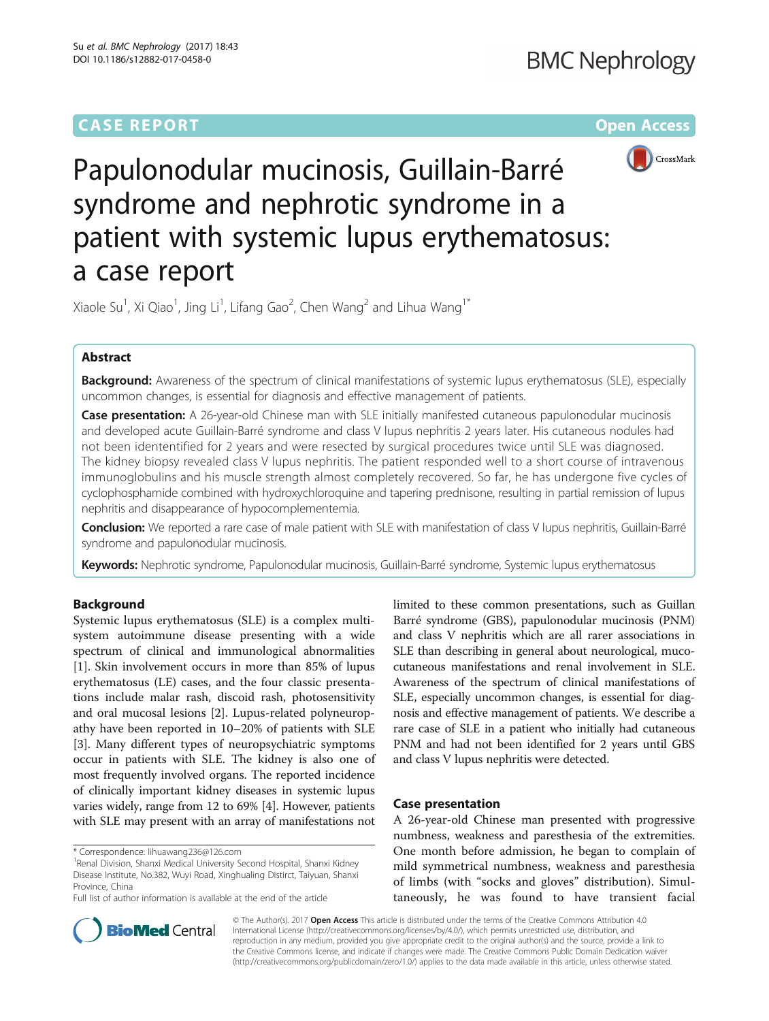# **CASE REPORT CASE REPORT CASE ACCESS**



Papulonodular mucinosis, Guillain-Barré syndrome and nephrotic syndrome in a patient with systemic lupus erythematosus: a case report

Xiaole Su<sup>1</sup>, Xi Qiao<sup>1</sup>, Jing Li<sup>1</sup>, Lifang Gao<sup>2</sup>, Chen Wang<sup>2</sup> and Lihua Wang<sup>1\*</sup>

# Abstract

Background: Awareness of the spectrum of clinical manifestations of systemic lupus erythematosus (SLE), especially uncommon changes, is essential for diagnosis and effective management of patients.

Case presentation: A 26-year-old Chinese man with SLE initially manifested cutaneous papulonodular mucinosis and developed acute Guillain-Barré syndrome and class V lupus nephritis 2 years later. His cutaneous nodules had not been idententified for 2 years and were resected by surgical procedures twice until SLE was diagnosed. The kidney biopsy revealed class V lupus nephritis. The patient responded well to a short course of intravenous immunoglobulins and his muscle strength almost completely recovered. So far, he has undergone five cycles of cyclophosphamide combined with hydroxychloroquine and tapering prednisone, resulting in partial remission of lupus nephritis and disappearance of hypocomplementemia.

Conclusion: We reported a rare case of male patient with SLE with manifestation of class V lupus nephritis, Guillain-Barré syndrome and papulonodular mucinosis.

Keywords: Nephrotic syndrome, Papulonodular mucinosis, Guillain-Barré syndrome, Systemic lupus erythematosus

# Background

Systemic lupus erythematosus (SLE) is a complex multisystem autoimmune disease presenting with a wide spectrum of clinical and immunological abnormalities [[1\]](#page-3-0). Skin involvement occurs in more than 85% of lupus erythematosus (LE) cases, and the four classic presentations include malar rash, discoid rash, photosensitivity and oral mucosal lesions [\[2](#page-3-0)]. Lupus-related polyneuropathy have been reported in 10–20% of patients with SLE [[3\]](#page-3-0). Many different types of neuropsychiatric symptoms occur in patients with SLE. The kidney is also one of most frequently involved organs. The reported incidence of clinically important kidney diseases in systemic lupus varies widely, range from 12 to 69% [[4\]](#page-3-0). However, patients with SLE may present with an array of manifestations not

Full list of author information is available at the end of the article



# Case presentation

A 26-year-old Chinese man presented with progressive numbness, weakness and paresthesia of the extremities. One month before admission, he began to complain of mild symmetrical numbness, weakness and paresthesia of limbs (with "socks and gloves" distribution). Simultaneously, he was found to have transient facial



© The Author(s). 2017 Open Access This article is distributed under the terms of the Creative Commons Attribution 4.0 International License [\(http://creativecommons.org/licenses/by/4.0/](http://creativecommons.org/licenses/by/4.0/)), which permits unrestricted use, distribution, and reproduction in any medium, provided you give appropriate credit to the original author(s) and the source, provide a link to the Creative Commons license, and indicate if changes were made. The Creative Commons Public Domain Dedication waiver [\(http://creativecommons.org/publicdomain/zero/1.0/](http://creativecommons.org/publicdomain/zero/1.0/)) applies to the data made available in this article, unless otherwise stated.

<sup>\*</sup> Correspondence: [lihuawang236@126.com](mailto:lihuawang236@126.com) <sup>1</sup>

<sup>&</sup>lt;sup>1</sup> Renal Division, Shanxi Medical University Second Hospital, Shanxi Kidney Disease Institute, No.382, Wuyi Road, Xinghualing Distirct, Taiyuan, Shanxi Province, China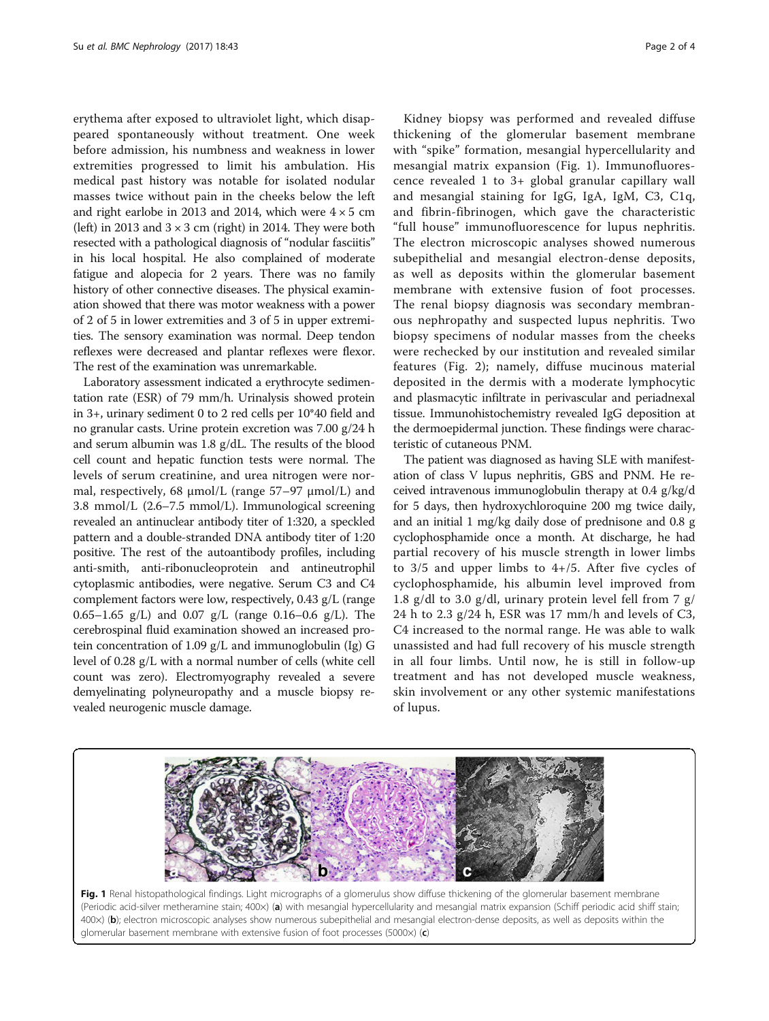erythema after exposed to ultraviolet light, which disappeared spontaneously without treatment. One week before admission, his numbness and weakness in lower extremities progressed to limit his ambulation. His medical past history was notable for isolated nodular masses twice without pain in the cheeks below the left and right earlobe in 2013 and 2014, which were  $4 \times 5$  cm (left) in 2013 and  $3 \times 3$  cm (right) in 2014. They were both resected with a pathological diagnosis of "nodular fasciitis" in his local hospital. He also complained of moderate fatigue and alopecia for 2 years. There was no family history of other connective diseases. The physical examination showed that there was motor weakness with a power of 2 of 5 in lower extremities and 3 of 5 in upper extremities. The sensory examination was normal. Deep tendon reflexes were decreased and plantar reflexes were flexor. The rest of the examination was unremarkable.

Laboratory assessment indicated a erythrocyte sedimentation rate (ESR) of 79 mm/h. Urinalysis showed protein in 3+, urinary sediment 0 to 2 red cells per 10\*40 field and no granular casts. Urine protein excretion was 7.00 g/24 h and serum albumin was 1.8 g/dL. The results of the blood cell count and hepatic function tests were normal. The levels of serum creatinine, and urea nitrogen were normal, respectively, 68 μmol/L (range 57–97 μmol/L) and 3.8 mmol/L (2.6–7.5 mmol/L). Immunological screening revealed an antinuclear antibody titer of 1:320, a speckled pattern and a double-stranded DNA antibody titer of 1:20 positive. The rest of the autoantibody profiles, including anti-smith, anti-ribonucleoprotein and antineutrophil cytoplasmic antibodies, were negative. Serum C3 and C4 complement factors were low, respectively, 0.43 g/L (range 0.65–1.65 g/L) and 0.07 g/L (range 0.16–0.6 g/L). The cerebrospinal fluid examination showed an increased protein concentration of 1.09 g/L and immunoglobulin (Ig) G level of 0.28 g/L with a normal number of cells (white cell count was zero). Electromyography revealed a severe demyelinating polyneuropathy and a muscle biopsy revealed neurogenic muscle damage.

Kidney biopsy was performed and revealed diffuse thickening of the glomerular basement membrane with "spike" formation, mesangial hypercellularity and mesangial matrix expansion (Fig. 1). Immunofluorescence revealed 1 to 3+ global granular capillary wall and mesangial staining for IgG, IgA, IgM, C3, C1q, and fibrin-fibrinogen, which gave the characteristic "full house" immunofluorescence for lupus nephritis. The electron microscopic analyses showed numerous subepithelial and mesangial electron-dense deposits, as well as deposits within the glomerular basement membrane with extensive fusion of foot processes. The renal biopsy diagnosis was secondary membranous nephropathy and suspected lupus nephritis. Two biopsy specimens of nodular masses from the cheeks were rechecked by our institution and revealed similar features (Fig. [2](#page-2-0)); namely, diffuse mucinous material deposited in the dermis with a moderate lymphocytic and plasmacytic infiltrate in perivascular and periadnexal tissue. Immunohistochemistry revealed IgG deposition at the dermoepidermal junction. These findings were characteristic of cutaneous PNM.

The patient was diagnosed as having SLE with manifestation of class V lupus nephritis, GBS and PNM. He received intravenous immunoglobulin therapy at 0.4 g/kg/d for 5 days, then hydroxychloroquine 200 mg twice daily, and an initial 1 mg/kg daily dose of prednisone and 0.8 g cyclophosphamide once a month. At discharge, he had partial recovery of his muscle strength in lower limbs to  $3/5$  and upper limbs to  $4+/5$ . After five cycles of cyclophosphamide, his albumin level improved from 1.8 g/dl to 3.0 g/dl, urinary protein level fell from 7 g/ 24 h to 2.3 g/24 h, ESR was 17 mm/h and levels of C3, C4 increased to the normal range. He was able to walk unassisted and had full recovery of his muscle strength in all four limbs. Until now, he is still in follow-up treatment and has not developed muscle weakness, skin involvement or any other systemic manifestations of lupus.



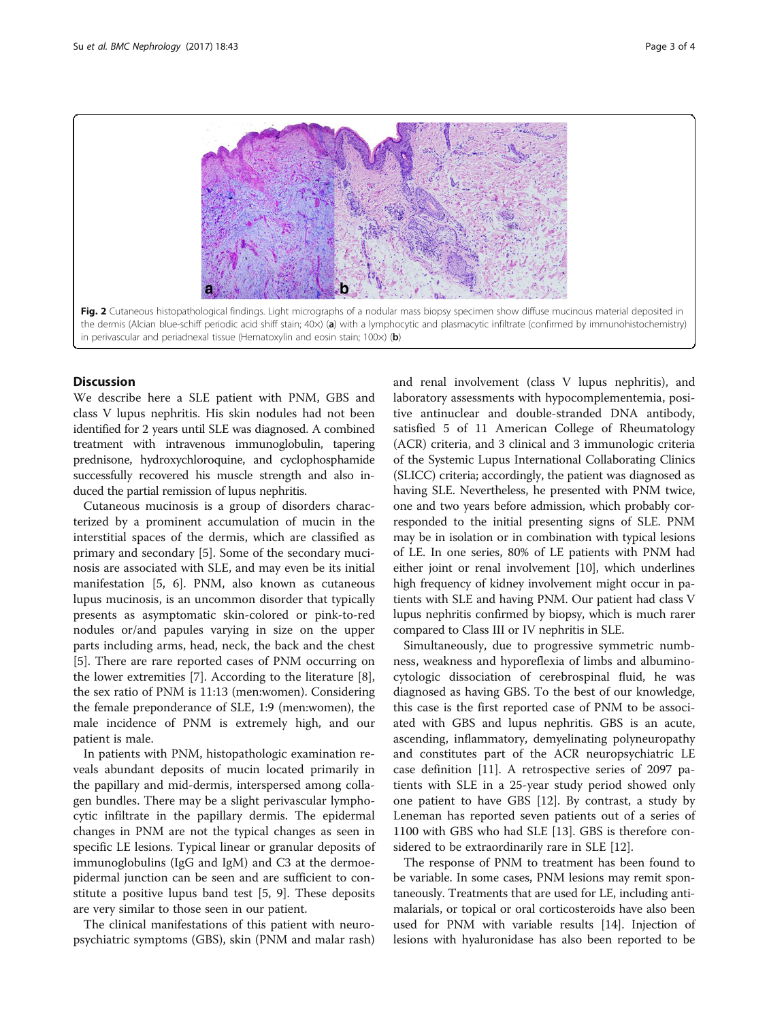<span id="page-2-0"></span>

# **Discussion**

We describe here a SLE patient with PNM, GBS and class V lupus nephritis. His skin nodules had not been identified for 2 years until SLE was diagnosed. A combined treatment with intravenous immunoglobulin, tapering prednisone, hydroxychloroquine, and cyclophosphamide successfully recovered his muscle strength and also induced the partial remission of lupus nephritis.

Cutaneous mucinosis is a group of disorders characterized by a prominent accumulation of mucin in the interstitial spaces of the dermis, which are classified as primary and secondary [[5\]](#page-3-0). Some of the secondary mucinosis are associated with SLE, and may even be its initial manifestation [\[5, 6\]](#page-3-0). PNM, also known as cutaneous lupus mucinosis, is an uncommon disorder that typically presents as asymptomatic skin-colored or pink-to-red nodules or/and papules varying in size on the upper parts including arms, head, neck, the back and the chest [[5\]](#page-3-0). There are rare reported cases of PNM occurring on the lower extremities [\[7\]](#page-3-0). According to the literature [\[8](#page-3-0)], the sex ratio of PNM is 11:13 (men:women). Considering the female preponderance of SLE, 1:9 (men:women), the male incidence of PNM is extremely high, and our patient is male.

In patients with PNM, histopathologic examination reveals abundant deposits of mucin located primarily in the papillary and mid-dermis, interspersed among collagen bundles. There may be a slight perivascular lymphocytic infiltrate in the papillary dermis. The epidermal changes in PNM are not the typical changes as seen in specific LE lesions. Typical linear or granular deposits of immunoglobulins (IgG and IgM) and C3 at the dermoepidermal junction can be seen and are sufficient to constitute a positive lupus band test [\[5, 9](#page-3-0)]. These deposits are very similar to those seen in our patient.

The clinical manifestations of this patient with neuropsychiatric symptoms (GBS), skin (PNM and malar rash) and renal involvement (class V lupus nephritis), and laboratory assessments with hypocomplementemia, positive antinuclear and double-stranded DNA antibody, satisfied 5 of 11 American College of Rheumatology (ACR) criteria, and 3 clinical and 3 immunologic criteria of the Systemic Lupus International Collaborating Clinics (SLICC) criteria; accordingly, the patient was diagnosed as having SLE. Nevertheless, he presented with PNM twice, one and two years before admission, which probably corresponded to the initial presenting signs of SLE. PNM may be in isolation or in combination with typical lesions of LE. In one series, 80% of LE patients with PNM had either joint or renal involvement [\[10\]](#page-3-0), which underlines high frequency of kidney involvement might occur in patients with SLE and having PNM. Our patient had class V lupus nephritis confirmed by biopsy, which is much rarer compared to Class III or IV nephritis in SLE.

Simultaneously, due to progressive symmetric numbness, weakness and hyporeflexia of limbs and albuminocytologic dissociation of cerebrospinal fluid, he was diagnosed as having GBS. To the best of our knowledge, this case is the first reported case of PNM to be associated with GBS and lupus nephritis. GBS is an acute, ascending, inflammatory, demyelinating polyneuropathy and constitutes part of the ACR neuropsychiatric LE case definition [\[11](#page-3-0)]. A retrospective series of 2097 patients with SLE in a 25-year study period showed only one patient to have GBS [[12\]](#page-3-0). By contrast, a study by Leneman has reported seven patients out of a series of 1100 with GBS who had SLE [[13\]](#page-3-0). GBS is therefore considered to be extraordinarily rare in SLE [[12\]](#page-3-0).

The response of PNM to treatment has been found to be variable. In some cases, PNM lesions may remit spontaneously. Treatments that are used for LE, including antimalarials, or topical or oral corticosteroids have also been used for PNM with variable results [[14](#page-3-0)]. Injection of lesions with hyaluronidase has also been reported to be